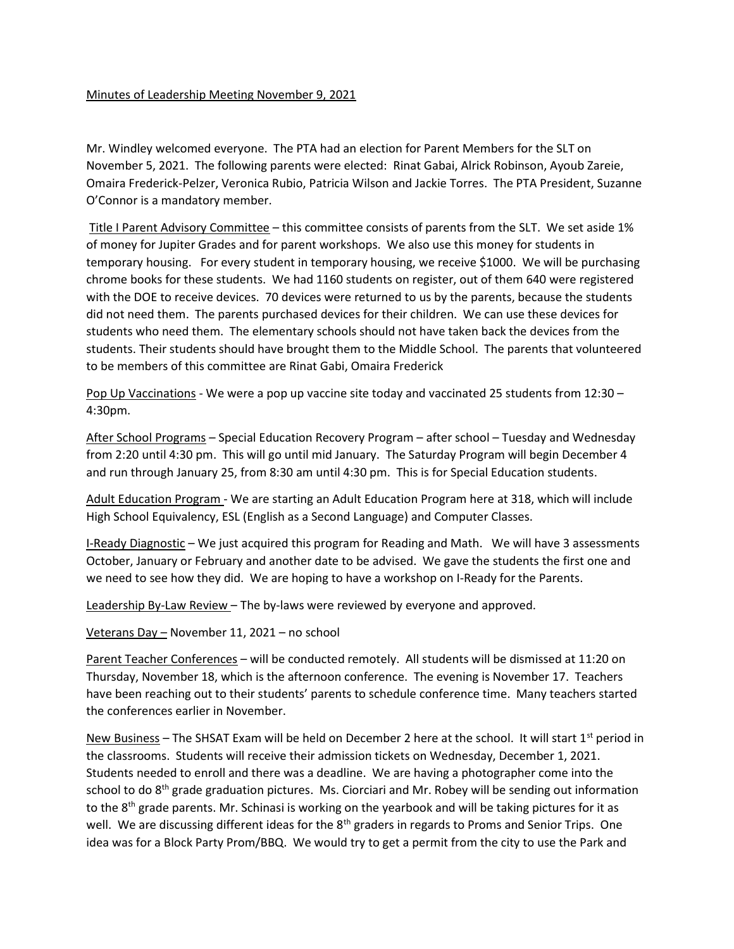## Minutes of Leadership Meeting November 9, 2021

Mr. Windley welcomed everyone. The PTA had an election for Parent Members for the SLT on November 5, 2021. The following parents were elected: Rinat Gabai, Alrick Robinson, Ayoub Zareie, Omaira Frederick-Pelzer, Veronica Rubio, Patricia Wilson and Jackie Torres. The PTA President, Suzanne O'Connor is a mandatory member.

 Title I Parent Advisory Committee – this committee consists of parents from the SLT. We set aside 1% of money for Jupiter Grades and for parent workshops. We also use this money for students in temporary housing. For every student in temporary housing, we receive \$1000. We will be purchasing chrome books for these students. We had 1160 students on register, out of them 640 were registered with the DOE to receive devices. 70 devices were returned to us by the parents, because the students did not need them. The parents purchased devices for their children. We can use these devices for students who need them. The elementary schools should not have taken back the devices from the students. Their students should have brought them to the Middle School. The parents that volunteered to be members of this committee are Rinat Gabi, Omaira Frederick

Pop Up Vaccinations - We were a pop up vaccine site today and vaccinated 25 students from 12:30 – 4:30pm.

After School Programs – Special Education Recovery Program – after school – Tuesday and Wednesday from 2:20 until 4:30 pm. This will go until mid January. The Saturday Program will begin December 4 and run through January 25, from 8:30 am until 4:30 pm. This is for Special Education students.

Adult Education Program - We are starting an Adult Education Program here at 318, which will include High School Equivalency, ESL (English as a Second Language) and Computer Classes.

I-Ready Diagnostic – We just acquired this program for Reading and Math. We will have 3 assessments October, January or February and another date to be advised. We gave the students the first one and we need to see how they did. We are hoping to have a workshop on I-Ready for the Parents.

Leadership By-Law Review – The by-laws were reviewed by everyone and approved.

Veterans Day – November 11, 2021 – no school

Parent Teacher Conferences – will be conducted remotely. All students will be dismissed at 11:20 on Thursday, November 18, which is the afternoon conference. The evening is November 17. Teachers have been reaching out to their students' parents to schedule conference time. Many teachers started the conferences earlier in November.

New Business – The SHSAT Exam will be held on December 2 here at the school. It will start  $1<sup>st</sup>$  period in the classrooms. Students will receive their admission tickets on Wednesday, December 1, 2021. Students needed to enroll and there was a deadline. We are having a photographer come into the school to do 8<sup>th</sup> grade graduation pictures. Ms. Ciorciari and Mr. Robey will be sending out information to the 8<sup>th</sup> grade parents. Mr. Schinasi is working on the yearbook and will be taking pictures for it as well. We are discussing different ideas for the  $8<sup>th</sup>$  graders in regards to Proms and Senior Trips. One idea was for a Block Party Prom/BBQ. We would try to get a permit from the city to use the Park and